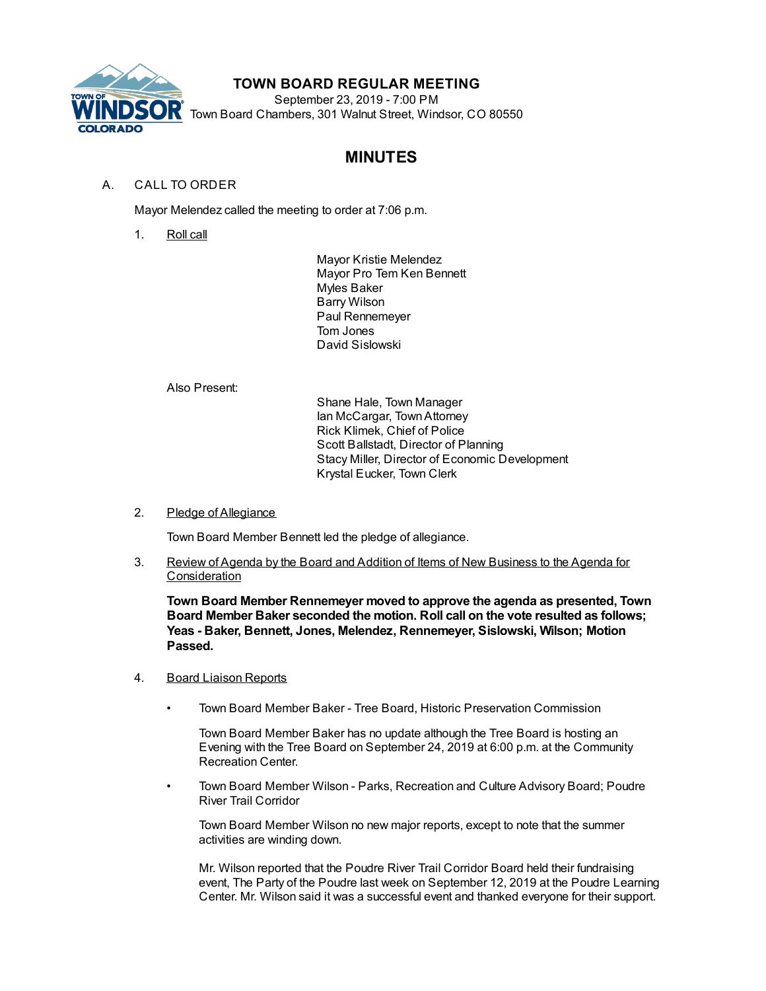

## **TOWN BOARD REGULAR MEETING**

September 23, 2019 - 7:00 PM Town Board Chambers, 301 Walnut Street, Windsor, CO 80550

# **MINUTES**

### A. CALL TO ORDER

Mayor Melendez called the meeting to order at 7:06 p.m.

1. Roll call

Mayor Kristie Melendez Mayor Pro Tem Ken Bennett Myles Baker Barry Wilson Paul Rennemeyer Tom Jones David Sislowski

Also Present:

Shane Hale, Town Manager Ian McCargar, TownAttorney Rick Klimek, Chief of Police Scott Ballstadt, Director of Planning Stacy Miller, Director of Economic Development Krystal Eucker, Town Clerk

2. Pledge of Allegiance

Town Board Member Bennett led the pledge of allegiance.

3. Review of Agenda by the Board and Addition of Items of New Business to the Agenda for **Consideration** 

**Town Board Member Rennemeyer moved to approve the agenda as presented, Town Board Member Baker seconded the motion. Roll call on the vote resulted as follows; Yeas - Baker, Bennett, Jones, Melendez, Rennemeyer, Sislowski, Wilson; Motion Passed.**

- 4. Board Liaison Reports
	- Town Board Member Baker Tree Board, Historic Preservation Commission

Town Board Member Baker has no update although the Tree Board is hosting an Evening with the Tree Board on September 24, 2019 at 6:00 p.m. at the Community Recreation Center.

• Town Board Member Wilson - Parks, Recreation and Culture Advisory Board; Poudre River Trail Corridor

Town Board Member Wilson no new major reports, except to note that the summer activities are winding down.

Mr. Wilson reported that the Poudre River Trail Corridor Board held their fundraising event, The Party of the Poudre last week on September 12, 2019 at the Poudre Learning Center. Mr. Wilson said it was a successful event and thanked everyone for their support.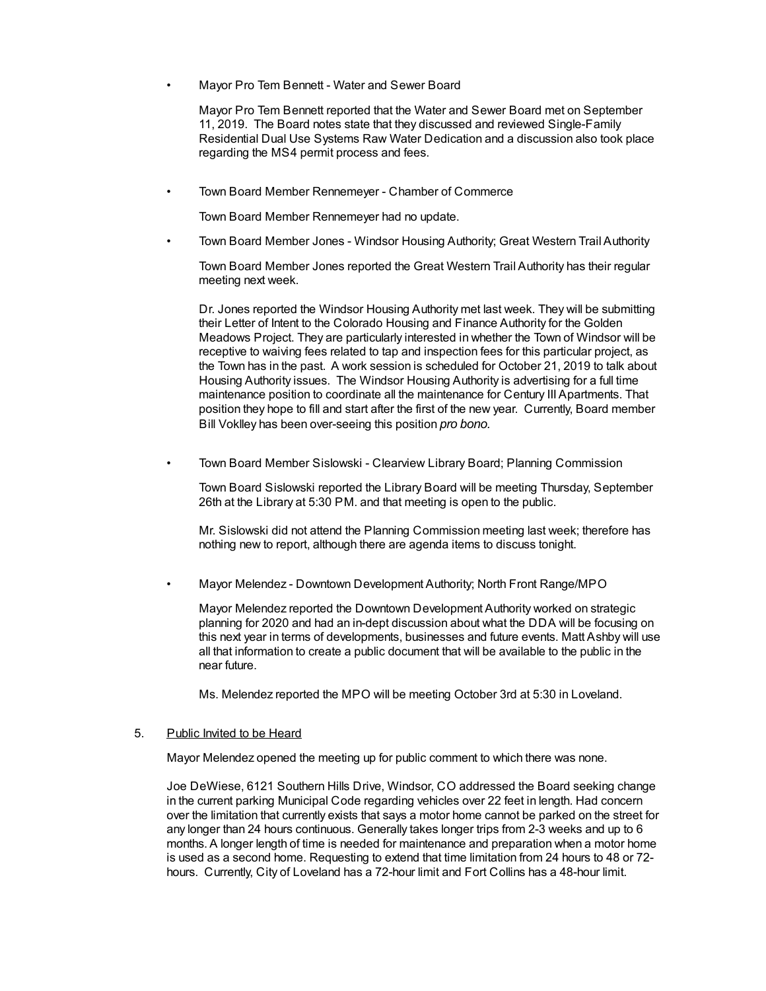• Mayor Pro Tem Bennett - Water and Sewer Board

Mayor Pro Tem Bennett reported that the Water and Sewer Board met on September 11, 2019. The Board notes state that they discussed and reviewed Single-Family Residential Dual Use Systems Raw Water Dedication and a discussion also took place regarding the MS4 permit process and fees.

• Town Board Member Rennemeyer - Chamber of Commerce

Town Board Member Rennemeyer had no update.

• Town Board Member Jones - Windsor Housing Authority; Great Western Trail Authority

Town Board Member Jones reported the Great Western Trail Authority has their regular meeting next week.

Dr. Jones reported the Windsor Housing Authority met last week. They will be submitting their Letter of Intent to the Colorado Housing and Finance Authority for the Golden Meadows Project. They are particularly interested in whether the Town of Windsor will be receptive to waiving fees related to tap and inspection fees for this particular project, as the Town has in the past. A work session is scheduled for October 21, 2019 to talk about Housing Authority issues. The Windsor Housing Authority is advertising for a full time maintenance position to coordinate all the maintenance for Century III Apartments. That position they hope to fill and start after the first of the new year. Currently, Board member Bill Voklley has been over-seeing this position *pro bono.*

• Town Board Member Sislowski - Clearview Library Board; Planning Commission

Town Board Sislowski reported the Library Board will be meeting Thursday, September 26th at the Library at 5:30 PM. and that meeting is open to the public.

Mr. Sislowski did not attend the Planning Commission meeting last week; therefore has nothing new to report, although there are agenda items to discuss tonight.

• Mayor Melendez - Downtown Development Authority; North Front Range/MPO

Mayor Melendez reported the Downtown Development Authority worked on strategic planning for 2020 and had an in-dept discussion about what the DDA will be focusing on this next year in terms of developments, businesses and future events. Matt Ashby will use all that information to create a public document that will be available to the public in the near future.

Ms. Melendez reported the MPO will be meeting October 3rd at 5:30 in Loveland.

#### 5. Public Invited to be Heard

Mayor Melendez opened the meeting up for public comment to which there was none.

Joe DeWiese, 6121 Southern Hills Drive, Windsor, CO addressed the Board seeking change in the current parking Municipal Code regarding vehicles over 22 feet in length. Had concern over the limitation that currently exists that says a motor home cannot be parked on the street for any longer than 24 hours continuous. Generally takes longer trips from 2-3 weeks and up to 6 months. A longer length of time is needed for maintenance and preparation when a motor home is used as a second home. Requesting to extend that time limitation from 24 hours to 48 or 72 hours. Currently, City of Loveland has a 72-hour limit and Fort Collins has a 48-hour limit.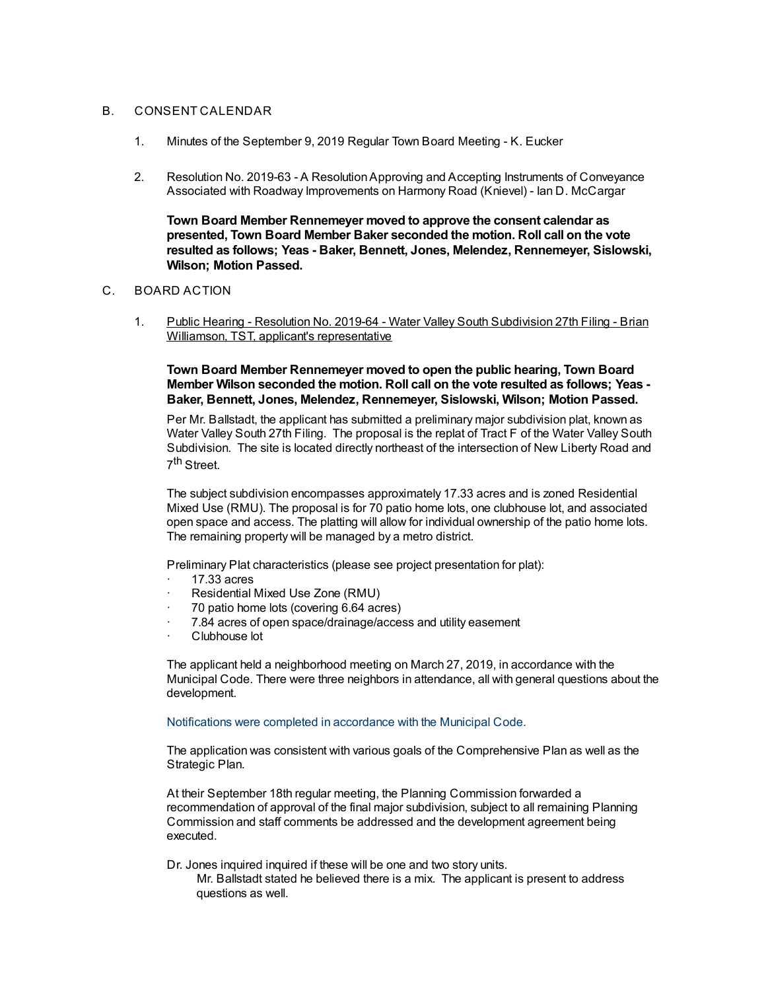#### B. CONSENT CALENDAR

- 1. Minutes of the September 9, 2019 Regular Town Board Meeting K. Eucker
- 2. Resolution No. 2019-63 A ResolutionApproving and Accepting Instruments of Conveyance Associated with Roadway Improvements on Harmony Road (Knievel) - Ian D. McCargar

**Town Board Member Rennemeyer moved to approve the consent calendar as presented, Town Board Member Baker seconded the motion. Roll call on the vote resulted as follows; Yeas - Baker, Bennett, Jones, Melendez, Rennemeyer, Sislowski, Wilson; Motion Passed.**

#### C. BOARD ACTION

1. Public Hearing - Resolution No. 2019-64 - Water Valley South Subdivision 27th Filing - Brian Williamson, TST, applicant's representative

**Town Board Member Rennemeyer moved to open the public hearing, Town Board Member Wilson seconded the motion. Roll call on the vote resulted as follows; Yeas - Baker, Bennett, Jones, Melendez, Rennemeyer, Sislowski, Wilson; Motion Passed.**

Per Mr. Ballstadt, the applicant has submitted a preliminary major subdivision plat, known as Water Valley South 27th Filing. The proposal is the replat of Tract F of the Water Valley South Subdivision. The site is located directly northeast of the intersection of New Liberty Road and 7<sup>th</sup> Street.

The subject subdivision encompasses approximately 17.33 acres and is zoned Residential Mixed Use (RMU). The proposal is for 70 patio home lots, one clubhouse lot, and associated open space and access. The platting will allow for individual ownership of the patio home lots. The remaining property will be managed by a metro district.

Preliminary Plat characteristics (please see project presentation for plat):

- · 17.33 acres
- Residential Mixed Use Zone (RMU)
- · 70 patio home lots (covering 6.64 acres)
- 7.84 acres of open space/drainage/access and utility easement
- Clubhouse lot

The applicant held a neighborhood meeting on March 27, 2019, in accordance with the Municipal Code. There were three neighbors in attendance, all with general questions about the development.

#### Notifications were completed in accordance with the Municipal Code.

The application was consistent with various goals of the Comprehensive Plan as well as the Strategic Plan.

At their September 18th regular meeting, the Planning Commission forwarded a recommendation of approval of the final major subdivision, subject to all remaining Planning Commission and staff comments be addressed and the development agreement being executed.

Dr. Jones inquired inquired if these will be one and two story units.

Mr. Ballstadt stated he believed there is a mix. The applicant is present to address questions as well.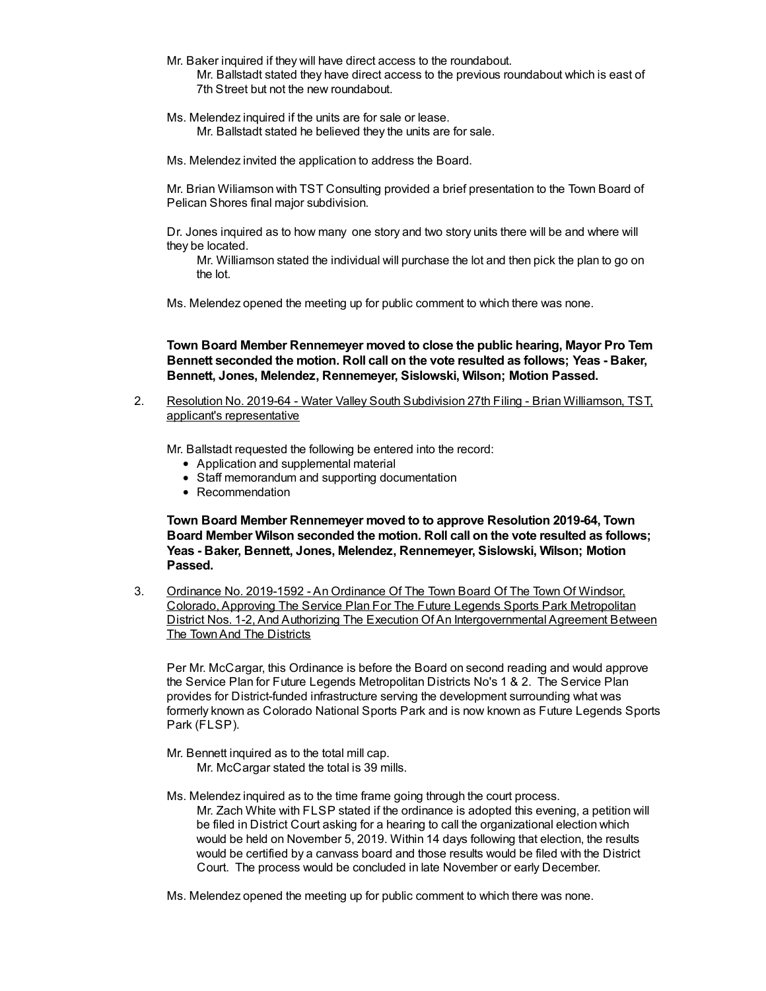- Mr. Baker inquired if they will have direct access to the roundabout. Mr. Ballstadt stated they have direct access to the previous roundabout which is east of 7th Street but not the new roundabout.
- Ms. Melendez inquired if the units are for sale or lease. Mr. Ballstadt stated he believed they the units are for sale.
- Ms. Melendez invited the application to address the Board.

Mr. Brian Wiliamson with TST Consulting provided a brief presentation to the Town Board of Pelican Shores final major subdivision.

Dr. Jones inquired as to how many one story and two story units there will be and where will they be located.

Mr. Williamson stated the individual will purchase the lot and then pick the plan to go on the lot.

Ms. Melendez opened the meeting up for public comment to which there was none.

**Town Board Member Rennemeyer moved to close the public hearing, Mayor Pro Tem Bennett seconded the motion. Roll call on the vote resulted as follows; Yeas - Baker, Bennett, Jones, Melendez, Rennemeyer, Sislowski, Wilson; Motion Passed.**

2. Resolution No. 2019-64 - Water Valley South Subdivision 27th Filing - Brian Williamson, TST, applicant's representative

Mr. Ballstadt requested the following be entered into the record:

- Application and supplemental material
- Staff memorandum and supporting documentation
- Recommendation

**Town Board Member Rennemeyer moved to to approve Resolution 2019-64, Town Board Member Wilson seconded the motion. Roll call on the vote resulted as follows; Yeas - Baker, Bennett, Jones, Melendez, Rennemeyer, Sislowski, Wilson; Motion Passed.**

3. Ordinance No. 2019-1592 - An Ordinance Of The Town Board Of The Town Of Windsor, Colorado, Approving The Service Plan For The Future Legends Sports Park Metropolitan District Nos. 1-2, And Authorizing The Execution Of An Intergovernmental Agreement Between The TownAnd The Districts

Per Mr. McCargar, this Ordinance is before the Board on second reading and would approve the Service Plan for Future Legends Metropolitan Districts No's 1 & 2. The Service Plan provides for District-funded infrastructure serving the development surrounding what was formerly known as Colorado National Sports Park and is now known as Future Legends Sports Park (FLSP).

Mr. Bennett inquired as to the total mill cap. Mr. McCargar stated the total is 39 mills.

Ms. Melendez inquired as to the time frame going through the court process. Mr. Zach White with FLSP stated if the ordinance is adopted this evening, a petition will be filed in District Court asking for a hearing to call the organizational election which would be held on November 5, 2019. Within 14 days following that election, the results would be certified by a canvass board and those results would be filed with the District Court. The process would be concluded in late November or early December.

Ms. Melendez opened the meeting up for public comment to which there was none.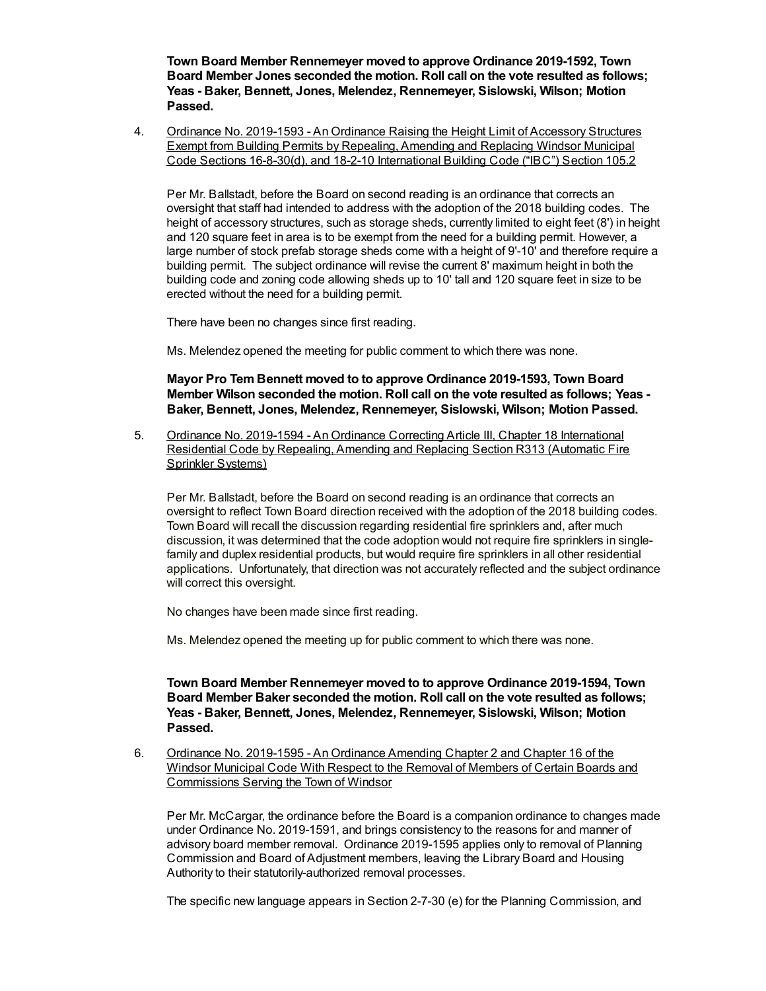**Town Board Member Rennemeyer moved to approve Ordinance 2019-1592, Town Board Member Jones seconded the motion. Roll call on the vote resulted as follows; Yeas - Baker, Bennett, Jones, Melendez, Rennemeyer, Sislowski, Wilson; Motion Passed.**

4. Ordinance No. 2019-1593 - An Ordinance Raising the Height Limit of Accessory Structures Exempt from Building Permits by Repealing, Amending and Replacing Windsor Municipal Code Sections 16-8-30(d), and 18-2-10 International Building Code ("IBC") Section 105.2

Per Mr. Ballstadt, before the Board on second reading is an ordinance that corrects an oversight that staff had intended to address with the adoption of the 2018 building codes. The height of accessory structures, such as storage sheds, currently limited to eight feet (8') in height and 120 square feet in area is to be exempt from the need for a building permit. However, a large number of stock prefab storage sheds come with a height of 9'-10' and therefore require a building permit. The subject ordinance will revise the current 8' maximum height in both the building code and zoning code allowing sheds up to 10' tall and 120 square feet in size to be erected without the need for a building permit.

There have been no changes since first reading.

Ms. Melendez opened the meeting for public comment to which there was none.

**Mayor Pro Tem Bennett moved to to approve Ordinance 2019-1593, Town Board Member Wilson seconded the motion. Roll call on the vote resulted as follows; Yeas - Baker, Bennett, Jones, Melendez, Rennemeyer, Sislowski, Wilson; Motion Passed.**

5. Ordinance No. 2019-1594 - An Ordinance Correcting Article III, Chapter 18 International Residential Code by Repealing, Amending and Replacing Section R313 (Automatic Fire Sprinkler Systems)

Per Mr. Ballstadt, before the Board on second reading is an ordinance that corrects an oversight to reflect Town Board direction received with the adoption of the 2018 building codes. Town Board will recall the discussion regarding residential fire sprinklers and, after much discussion, it was determined that the code adoption would not require fire sprinklers in singlefamily and duplex residential products, but would require fire sprinklers in all other residential applications. Unfortunately, that direction was not accurately reflected and the subject ordinance will correct this oversight.

No changes have been made since first reading.

Ms. Melendez opened the meeting up for public comment to which there was none.

**Town Board Member Rennemeyer moved to to approve Ordinance 2019-1594, Town Board Member Baker seconded the motion. Roll call on the vote resulted as follows; Yeas - Baker, Bennett, Jones, Melendez, Rennemeyer, Sislowski, Wilson; Motion Passed.**

6. Ordinance No. 2019-1595 - An Ordinance Amending Chapter 2 and Chapter 16 of the Windsor Municipal Code With Respect to the Removal of Members of Certain Boards and Commissions Serving the Town of Windsor

Per Mr. McCargar, the ordinance before the Board is a companion ordinance to changes made under Ordinance No. 2019-1591, and brings consistency to the reasons for and manner of advisory board member removal. Ordinance 2019-1595 applies only to removal of Planning Commission and Board of Adjustment members, leaving the Library Board and Housing Authority to their statutorily-authorized removal processes.

The specific new language appears in Section 2-7-30 (e) for the Planning Commission, and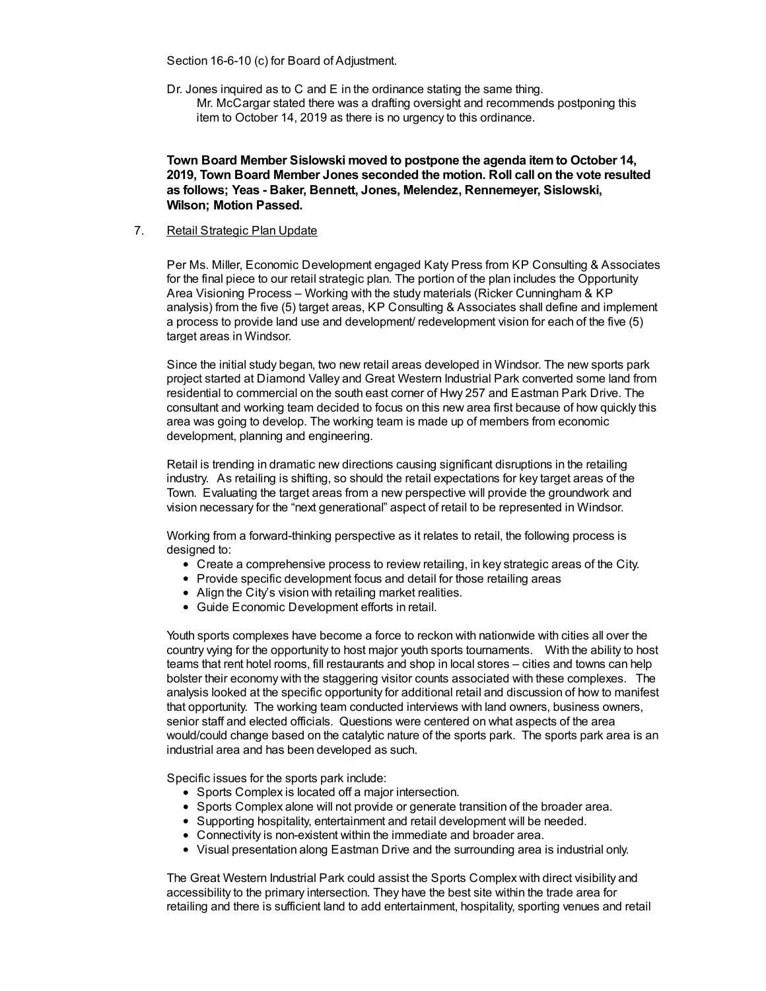Section 16-6-10 (c) for Board of Adjustment.

Dr. Jones inquired as to C and E in the ordinance stating the same thing.

Mr. McCargar stated there was a drafting oversight and recommends postponing this item to October 14, 2019 as there is no urgency to this ordinance.

**Town Board Member Sislowski moved to postpone the agenda itemto October 14, 2019, Town Board Member Jones seconded the motion. Roll call on the vote resulted as follows; Yeas - Baker, Bennett, Jones, Melendez, Rennemeyer, Sislowski, Wilson; Motion Passed.**

7. Retail Strategic Plan Update

Per Ms. Miller, Economic Development engaged Katy Press from KP Consulting & Associates for the final piece to our retail strategic plan. The portion of the plan includes the Opportunity Area Visioning Process – Working with the study materials (Ricker Cunningham & KP analysis) from the five (5) target areas, KP Consulting & Associates shall define and implement a process to provide land use and development/ redevelopment vision for each of the five (5) target areas in Windsor.

Since the initial study began, two new retail areas developed in Windsor. The new sports park project started at Diamond Valley and Great Western Industrial Park converted some land from residential to commercial on the south east corner of Hwy 257 and Eastman Park Drive. The consultant and working team decided to focus on this new area first because of how quickly this area was going to develop. The working team is made up of members from economic development, planning and engineering.

Retail is trending in dramatic new directions causing significant disruptions in the retailing industry. As retailing is shifting, so should the retail expectations for key target areas of the Town. Evaluating the target areas from a new perspective will provide the groundwork and vision necessary for the "next generational" aspect of retail to be represented in Windsor.

Working from a forward-thinking perspective as it relates to retail, the following process is designed to:

- Create a comprehensive process to review retailing, in key strategic areas of the City.
- Provide specific development focus and detail for those retailing areas
- Align the City's vision with retailing market realities.
- Guide Economic Development efforts in retail.

Youth sports complexes have become a force to reckon with nationwide with cities all over the country vying for the opportunity to host major youth sports tournaments. With the ability to host teams that rent hotel rooms, fill restaurants and shop in local stores – cities and towns can help bolster their economy with the staggering visitor counts associated with these complexes. The analysis looked at the specific opportunity for additional retail and discussion of how to manifest that opportunity. The working team conducted interviews with land owners, business owners, senior staff and elected officials. Questions were centered on what aspects of the area would/could change based on the catalytic nature of the sports park. The sports park area is an industrial area and has been developed as such.

Specific issues for the sports park include:

- Sports Complex is located off a major intersection.
- Sports Complex alone will not provide or generate transition of the broader area.
- Supporting hospitality, entertainment and retail development will be needed.
- Connectivity is non-existent within the immediate and broader area.
- Visual presentation along Eastman Drive and the surrounding area is industrial only.

The Great Western Industrial Park could assist the Sports Complex with direct visibility and accessibility to the primary intersection. They have the best site within the trade area for retailing and there is sufficient land to add entertainment, hospitality, sporting venues and retail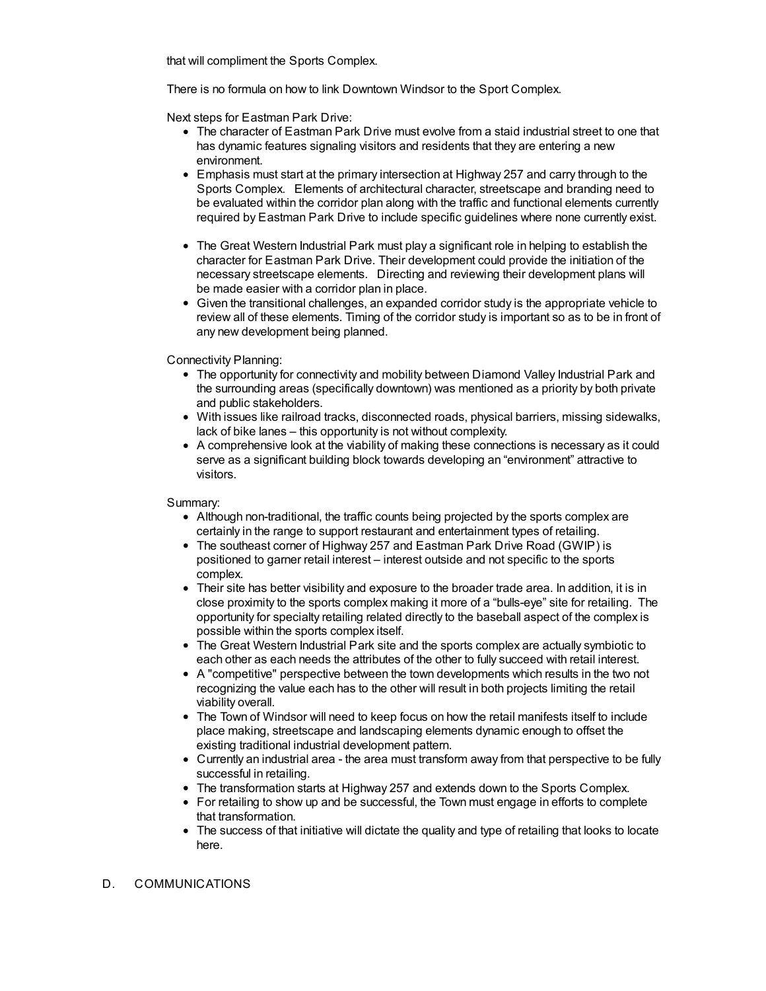that will compliment the Sports Complex.

There is no formula on how to link Downtown Windsor to the Sport Complex.

Next steps for Eastman Park Drive:

- The character of Eastman Park Drive must evolve from a staid industrial street to one that has dynamic features signaling visitors and residents that they are entering a new environment.
- Emphasis must start at the primary intersection at Highway 257 and carry through to the Sports Complex. Elements of architectural character, streetscape and branding need to be evaluated within the corridor plan along with the traffic and functional elements currently required by Eastman Park Drive to include specific guidelines where none currently exist.
- The Great Western Industrial Park must play a significant role in helping to establish the character for Eastman Park Drive. Their development could provide the initiation of the necessary streetscape elements. Directing and reviewing their development plans will be made easier with a corridor plan in place.
- Given the transitional challenges, an expanded corridor study is the appropriate vehicle to review all of these elements. Timing of the corridor study is important so as to be in front of any new development being planned.

Connectivity Planning:

- The opportunity for connectivity and mobility between Diamond Valley Industrial Park and the surrounding areas (specifically downtown) was mentioned as a priority by both private and public stakeholders.
- With issues like railroad tracks, disconnected roads, physical barriers, missing sidewalks, lack of bike lanes – this opportunity is not without complexity.
- A comprehensive look at the viability of making these connections is necessary as it could serve as a significant building block towards developing an "environment" attractive to visitors.

Summary:

- Although non-traditional, the traffic counts being projected by the sports complex are certainly in the range to support restaurant and entertainment types of retailing.
- The southeast corner of Highway 257 and Eastman Park Drive Road (GWIP) is positioned to garner retail interest – interest outside and not specific to the sports complex.
- Their site has better visibility and exposure to the broader trade area. In addition, it is in close proximity to the sports complex making it more of a "bulls-eye" site for retailing. The opportunity for specialty retailing related directly to the baseball aspect of the complex is possible within the sports complex itself.
- The Great Western Industrial Park site and the sports complex are actually symbiotic to each other as each needs the attributes of the other to fully succeed with retail interest.
- A "competitive" perspective between the town developments which results in the two not recognizing the value each has to the other will result in both projects limiting the retail viability overall.
- The Town of Windsor will need to keep focus on how the retail manifests itself to include place making, streetscape and landscaping elements dynamic enough to offset the existing traditional industrial development pattern.
- Currently an industrial area the area must transform away from that perspective to be fully successful in retailing.
- The transformation starts at Highway 257 and extends down to the Sports Complex.
- For retailing to show up and be successful, the Town must engage in efforts to complete that transformation.
- The success of that initiative will dictate the quality and type of retailing that looks to locate here.
- D. COMMUNICATIONS